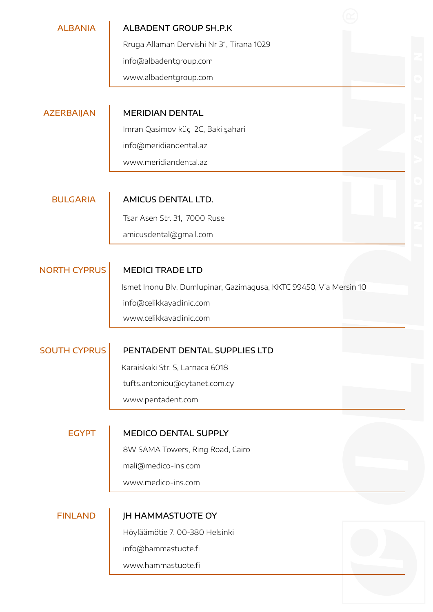| <b>ALBANIA</b>      | ALBADENT GROUP SH.P.K                                              |
|---------------------|--------------------------------------------------------------------|
|                     | Rruga Allaman Dervishi Nr 31, Tirana 1029                          |
|                     | info@albadentgroup.com                                             |
|                     | www.albadentgroup.com                                              |
|                     |                                                                    |
| <b>AZERBAIJAN</b>   | <b>MERIDIAN DENTAL</b>                                             |
|                     | Imran Qasimov küç 2C, Baki şahari                                  |
|                     | info@meridiandental.az                                             |
|                     | www.meridiandental.az                                              |
|                     |                                                                    |
| <b>BULGARIA</b>     | <b>AMICUS DENTAL LTD.</b>                                          |
|                     | Tsar Asen Str. 31, 7000 Ruse                                       |
|                     | amicusdental@gmail.com                                             |
|                     |                                                                    |
| <b>NORTH CYPRUS</b> | <b>MEDICI TRADE LTD</b>                                            |
|                     | Ismet Inonu Blv, Dumlupinar, Gazimagusa, KKTC 99450, Via Mersin 10 |
|                     | info@celikkayaclinic.com                                           |
|                     | www.celikkayaclinic.com                                            |
| <b>SOUTH CYPRUS</b> | PENTADENT DENTAL SUPPLIES LTD                                      |
|                     | Karaiskaki Str. 5, Larnaca 6018                                    |
|                     | tufts.antoniou@cytanet.com.cy                                      |
|                     | www.pentadent.com                                                  |
|                     |                                                                    |
| <b>EGYPT</b>        | <b>MEDICO DENTAL SUPPLY</b>                                        |
|                     | 8W SAMA Towers, Ring Road, Cairo                                   |
|                     | mali@medico-ins.com                                                |
|                     | www.medico-ins.com                                                 |
|                     |                                                                    |
| <b>FINLAND</b>      | <b>JH HAMMASTUOTE OY</b>                                           |
|                     | Höyläämötie 7, 00-380 Helsinki                                     |
|                     | info@hammastuote.fi                                                |
|                     | www.hammastuote.fi                                                 |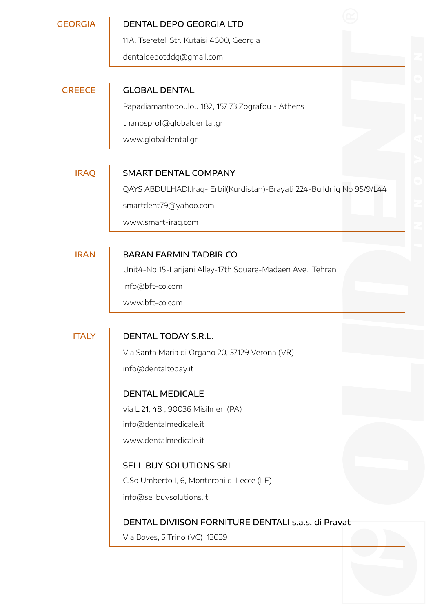#### GEORGIA DENTAL DEPO GEORGIA LTD

11A. Tsereteli Str. Kutaisi 4600, Georgia

dentaldepotddg@gmail.com

## GREECE GLOBAL DENTAL

Papadiamantopoulou 182, 157 73 Zografou - Athens thanosprof@globaldental.gr www.globaldental.gr

#### IRAQ SMART DENTAL COMPANY

QAYS ABDULHADI.Iraq- Erbil(Kurdistan)-Brayati 224-Buildnig No 95/9/L44 smartdent79@yahoo.com

www.smart-iraq.com

## IRAN BARAN FARMIN TADBIR CO

Unit4-No 15-Larijani Alley-17th Square-Madaen Ave., Tehran Info@bft-co.com [www.bft-co.com](http://www.bft-co.com/)

#### ITALY DENTAL TODAY S.R.L.

Via Santa Maria di Organo 20, 37129 Verona (VR) info@dentaltoday.it

### DENTAL MEDICALE

via L 21, 48 , 90036 Misilmeri (PA) info@dentalmedicale.it

www.dentalmedicale.it

### SELL BUY SOLUTIONS SRL

C.So Umberto I, 6, Monteroni di Lecce (LE)

info@sellbuysolutions.it

### DENTAL DIVIISON FORNITURE DENTALI s.a.s. di Pravat

Via Boves, 5 Trino (VC) 13039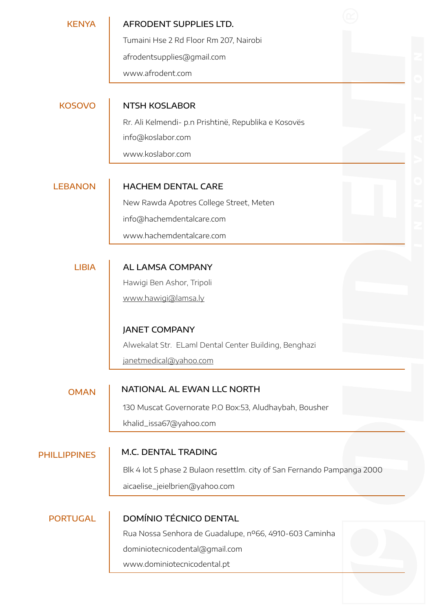| <b>KENYA</b>        | AFRODENT SUPPLIES LTD.                                                  |  |
|---------------------|-------------------------------------------------------------------------|--|
|                     | Tumaini Hse 2 Rd Floor Rm 207, Nairobi                                  |  |
|                     | afrodentsupplies@gmail.com                                              |  |
|                     | www.afrodent.com                                                        |  |
|                     |                                                                         |  |
| <b>KOSOVO</b>       | <b>NTSH KOSLABOR</b>                                                    |  |
|                     | Rr. Ali Kelmendi- p.n Prishtinë, Republika e Kosovës                    |  |
|                     | info@koslabor.com                                                       |  |
|                     | www.koslabor.com                                                        |  |
|                     |                                                                         |  |
| <b>LEBANON</b>      | <b>HACHEM DENTAL CARE</b>                                               |  |
|                     | New Rawda Apotres College Street, Meten                                 |  |
|                     | info@hachemdentalcare.com                                               |  |
|                     | www.hachemdentalcare.com                                                |  |
|                     |                                                                         |  |
| <b>LIBIA</b>        | <b>AL LAMSA COMPANY</b>                                                 |  |
|                     | Hawigi Ben Ashor, Tripoli                                               |  |
|                     | www.hawigi@lamsa.ly                                                     |  |
|                     |                                                                         |  |
|                     | <b>JANET COMPANY</b>                                                    |  |
|                     | Alwekalat Str. ELaml Dental Center Building, Benghazi                   |  |
|                     | janetmedical@yahoo.com                                                  |  |
|                     |                                                                         |  |
| <b>OMAN</b>         | NATIONAL AL EWAN LLC NORTH                                              |  |
|                     | 130 Muscat Governorate P.O Box:53, Aludhaybah, Bousher                  |  |
|                     | khalid_issa67@yahoo.com                                                 |  |
|                     |                                                                         |  |
| <b>PHILLIPPINES</b> | M.C. DENTAL TRADING                                                     |  |
|                     | Blk 4 lot 5 phase 2 Bulaon resettlm. city of San Fernando Pampanga 2000 |  |
|                     | aicaelise_jeielbrien@yahoo.com                                          |  |
|                     |                                                                         |  |
| <b>PORTUGAL</b>     | <b>DOMÍNIO TÉCNICO DENTAL</b>                                           |  |
|                     | Rua Nossa Senhora de Guadalupe, nº66, 4910-603 Caminha                  |  |
|                     | dominiotecnicodental@gmail.com                                          |  |
|                     | www.dominiotecnicodental.pt                                             |  |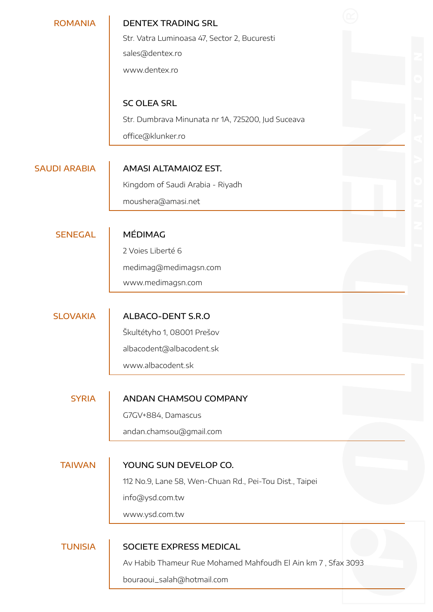| <b>ROMANIA</b>      | <b>DENTEX TRADING SRL</b><br>Str. Vatra Luminoasa 47, Sector 2, Bucuresti |  |
|---------------------|---------------------------------------------------------------------------|--|
|                     | sales@dentex.ro                                                           |  |
|                     | www.dentex.ro                                                             |  |
|                     |                                                                           |  |
|                     | <b>SC OLEA SRL</b>                                                        |  |
|                     | Str. Dumbrava Minunata nr 1A, 725200, Jud Suceava                         |  |
|                     | office@klunker.ro                                                         |  |
|                     |                                                                           |  |
| <b>SAUDI ARABIA</b> | <b>AMASI ALTAMAIOZ EST.</b>                                               |  |
|                     | Kingdom of Saudi Arabia - Riyadh                                          |  |
|                     | moushera@amasi.net                                                        |  |
|                     |                                                                           |  |
| <b>SENEGAL</b>      | <b>MÉDIMAG</b>                                                            |  |
|                     | 2 Voies Liberté 6                                                         |  |
|                     | medimag@medimagsn.com                                                     |  |
|                     | www.medimagsn.com                                                         |  |
|                     |                                                                           |  |
| <b>SLOVAKIA</b>     | ALBACO-DENT S.R.O                                                         |  |
|                     | Škultétyho 1, 08001 Prešov                                                |  |
|                     | albacodent@albacodent.sk                                                  |  |
|                     | www.albacodent.sk                                                         |  |
|                     |                                                                           |  |
| <b>SYRIA</b>        | ANDAN CHAMSOU COMPANY                                                     |  |
|                     | G7GV+884, Damascus                                                        |  |
|                     | andan.chamsou@gmail.com                                                   |  |
|                     |                                                                           |  |
| <b>TAIWAN</b>       | YOUNG SUN DEVELOP CO.                                                     |  |
|                     | 112 No.9, Lane 58, Wen-Chuan Rd., Pei-Tou Dist., Taipei                   |  |
|                     | info@ysd.com.tw                                                           |  |
|                     | www.ysd.com.tw                                                            |  |
| <b>TUNISIA</b>      | SOCIETE EXPRESS MEDICAL                                                   |  |
|                     | Av Habib Thameur Rue Mohamed Mahfoudh El Ain km 7, Sfax 3093              |  |
|                     | bouraoui_salah@hotmail.com                                                |  |
|                     |                                                                           |  |